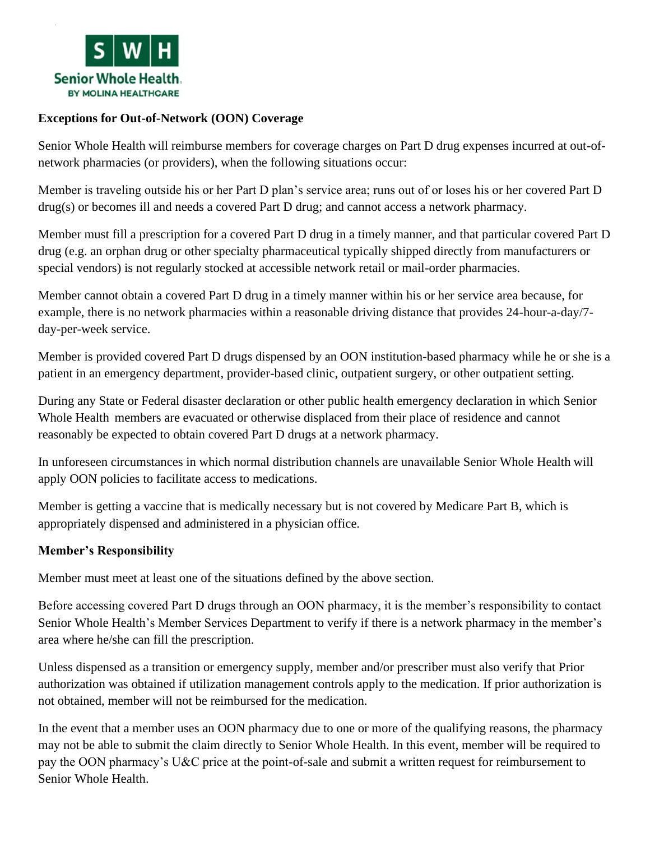

## **Exceptions for Out-of-Network (OON) Coverage**

Senior Whole Health will reimburse members for coverage charges on Part D drug expenses incurred at out-ofnetwork pharmacies (or providers), when the following situations occur:

Member is traveling outside his or her Part D plan's service area; runs out of or loses his or her covered Part D drug(s) or becomes ill and needs a covered Part D drug; and cannot access a network pharmacy.

Member must fill a prescription for a covered Part D drug in a timely manner, and that particular covered Part D drug (e.g. an orphan drug or other specialty pharmaceutical typically shipped directly from manufacturers or special vendors) is not regularly stocked at accessible network retail or mail-order pharmacies.

Member cannot obtain a covered Part D drug in a timely manner within his or her service area because, for example, there is no network pharmacies within a reasonable driving distance that provides 24-hour-a-day/7 day-per-week service.

Member is provided covered Part D drugs dispensed by an OON institution-based pharmacy while he or she is a patient in an emergency department, provider-based clinic, outpatient surgery, or other outpatient setting.

During any State or Federal disaster declaration or other public health emergency declaration in which Senior Whole Health members are evacuated or otherwise displaced from their place of residence and cannot reasonably be expected to obtain covered Part D drugs at a network pharmacy.

In unforeseen circumstances in which normal distribution channels are unavailable Senior Whole Health will apply OON policies to facilitate access to medications.

Member is getting a vaccine that is medically necessary but is not covered by Medicare Part B, which is appropriately dispensed and administered in a physician office.

## **Member's Responsibility**

Member must meet at least one of the situations defined by the above section.

Before accessing covered Part D drugs through an OON pharmacy, it is the member's responsibility to contact Senior Whole Health's Member Services Department to verify if there is a network pharmacy in the member's area where he/she can fill the prescription.

Unless dispensed as a transition or emergency supply, member and/or prescriber must also verify that Prior authorization was obtained if utilization management controls apply to the medication. If prior authorization is not obtained, member will not be reimbursed for the medication.

In the event that a member uses an OON pharmacy due to one or more of the qualifying reasons, the pharmacy may not be able to submit the claim directly to Senior Whole Health. In this event, member will be required to pay the OON pharmacy's U&C price at the point-of-sale and submit a written request for reimbursement to Senior Whole Health.